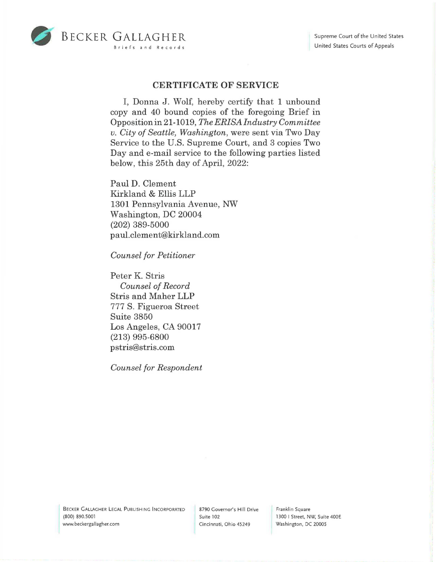

## **CERTIFICATE OF SERVICE**

I, Donna J. Wolf, hereby certify that 1 unbound copy and 40 bound copies of the foregoing Brief in Opposition in 21-1019, *The ERISAindustry Committee v. City of Seattle, Washington,* were sent via Two Day Service to the U.S. Supreme Court, and 3 copies Two Day and e-mail service to the following parties listed below, this 25th day of April, 2022:

Paul D. Clement Kirkland & Ellis LLP 1301 Pennsylvania Avenue, NW Washington, DC 20004 (202) 389-5000 pa ul.clement@kirkland.com

*Counsel for Petitioner* 

Peter K. Stris *Counsel of Record*  Stris and Maher LLP 777 S. Figueroa Street Suite 3850 Los Angeles, CA 90017 (213) 995-6800 pstris@stris.com

*Counsel for Respondent* 

BECKER GALLAGHER LEGAL PUBLISHING INCORPORATED (800) 890.5001 www.beckergallagher.com

8790 Governor's Hill Drive Suite 102 Cincinnati, Ohio 45249

Franklin Square 1300 I Street, NW, Suite 400E Washington, DC 20005